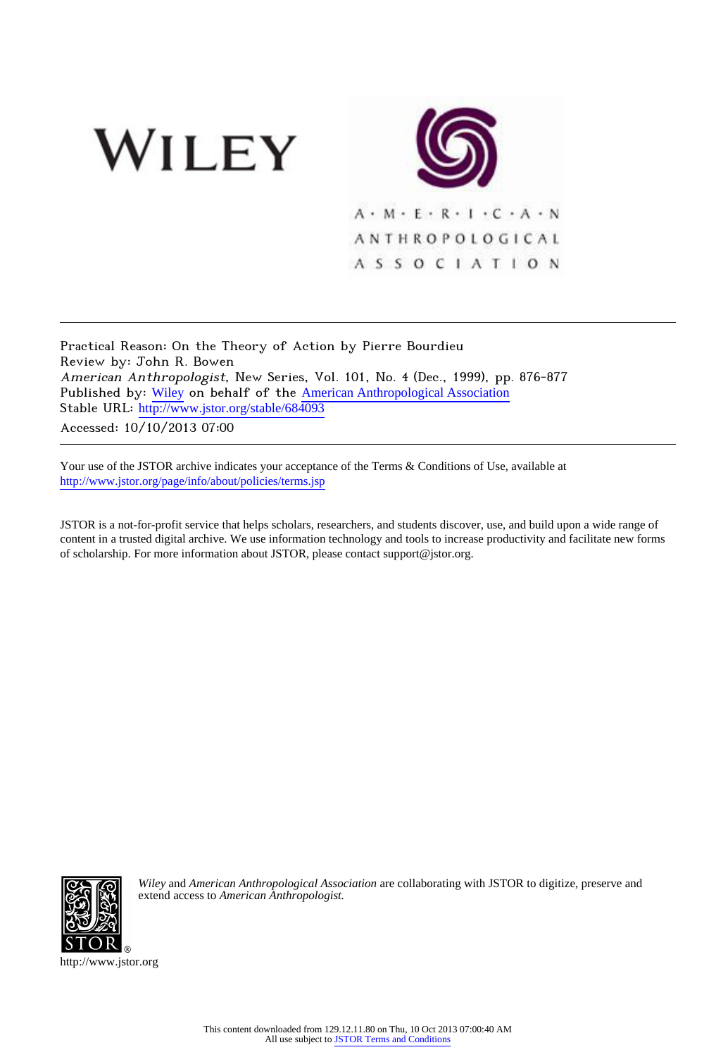



Practical Reason: On the Theory of Action by Pierre Bourdieu Review by: John R. Bowen American Anthropologist, New Series, Vol. 101, No. 4 (Dec., 1999), pp. 876-877 Published by: [Wiley](http://www.jstor.org/action/showPublisher?publisherCode=black) on behalf of the [American Anthropological Association](http://www.jstor.org/action/showPublisher?publisherCode=anthro) Stable URL: http://www.jstor.org/stable/684093

Accessed: 10/10/2013 07:00

Your use of the JSTOR archive indicates your acceptance of the Terms & Conditions of Use, available at <http://www.jstor.org/page/info/about/policies/terms.jsp>

JSTOR is a not-for-profit service that helps scholars, researchers, and students discover, use, and build upon a wide range of content in a trusted digital archive. We use information technology and tools to increase productivity and facilitate new forms of scholarship. For more information about JSTOR, please contact support@jstor.org.



*Wiley* and *American Anthropological Association* are collaborating with JSTOR to digitize, preserve and extend access to *American Anthropologist.*

http://www.jstor.org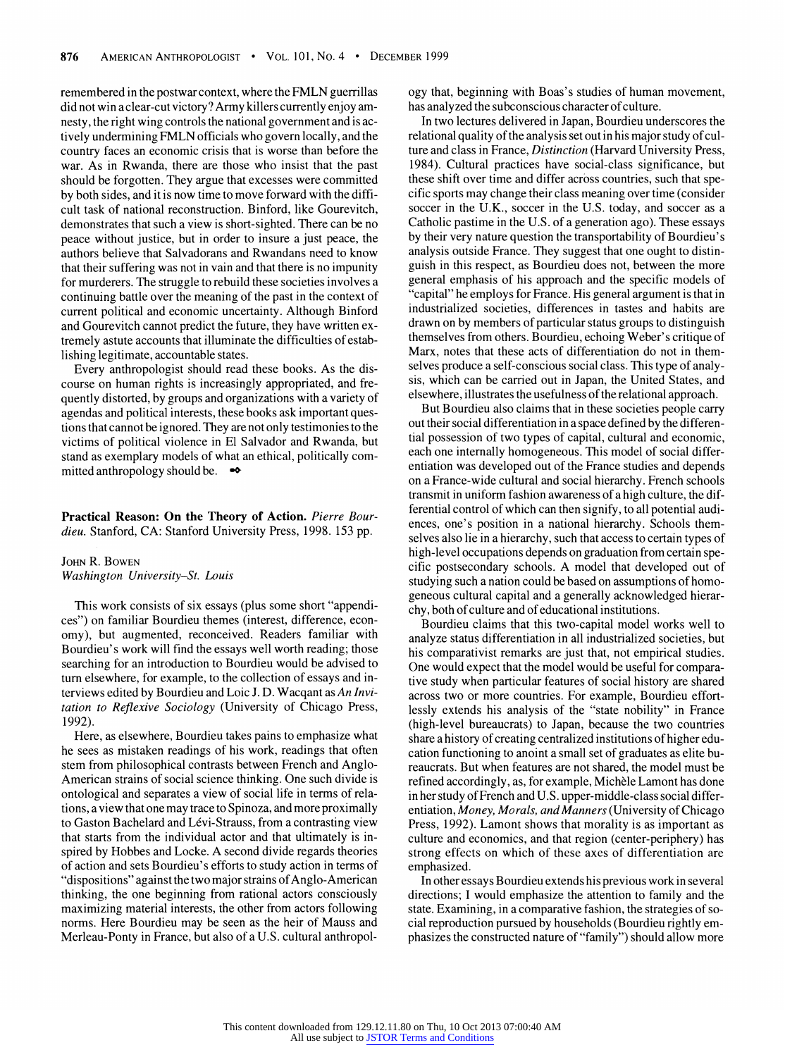**remembered in the postwar context, where the FMLN guerrillas did not win a clear-cut victory? Army killers currently enjoy amnesty, the right wing controls the national government and is actively undermining FMLN officials who govern locally, and the country faces an economic crisis that is worse than before the war. As in Rwanda, there are those who insist that the past should be forgotten. They argue that excesses were committed by both sides, and it is now time to move forward with the difficult task of national reconstruction. Binford, like Gourevitch, demonstrates that such a view is short-sighted. There can be no peace without justice, but in order to insure a just peace, the authors believe that Salvadorans and Rwandans need to know that their suffering was not in vain and that there is no impunity for murderers. The struggle to rebuild these societies involves a continuing battle over the meaning of the past in the context of current political and economic uncertainty. Although Binford and Gourevitch cannot predict the future, they have written extremely astute accounts that illuminate the difficulties of establishing legitimate, accountable states.** 

**Every anthropologist should read these books. As the discourse on human rights is increasingly appropriated, and frequently distorted, by groups and organizations with a variety of agendas and political interests, these books ask important questions that cannot be ignored. They are not only testimonies to the victims of political violence in El Salvador and Rwanda, but stand as exemplary models of what an ethical, politically committed anthropology should be.** 

## **Practical Reason: On the Theory of Action. Pierre Bourdieu. Stanford, CA: Stanford University Press, 1998. 153 pp.**

## **JOHN R. BOWEN Washington University-St. Louis**

**This work consists of six essays (plus some short "appendices") on familiar Bourdieu themes (interest, difference, economy), but augmented, reconceived. Readers familiar with Bourdieu's work will find the essays well worth reading; those searching for an introduction to Bourdieu would be advised to turn elsewhere, for example, to the collection of essays and interviews edited by Bourdieu and Loic J. D. Wacqant as An Invitation to Reflexive Sociology (University of Chicago Press, 1992).** 

**Here, as elsewhere, Bourdieu takes pains to emphasize what he sees as mistaken readings of his work, readings that often stem from philosophical contrasts between French and Anglo-American strains of social science thinking. One such divide is ontological and separates a view of social life in terms of relations, a view that one may trace to Spinoza, and more proximally**  to Gaston Bachelard and Lévi-Strauss, from a contrasting view **that starts from the individual actor and that ultimately is inspired by Hobbes and Locke. A second divide regards theories of action and sets Bourdieu's efforts to study action in terms of "dispositions" against the two major strains of Anglo-American thinking, the one beginning from rational actors consciously maximizing material interests, the other from actors following norms. Here Bourdieu may be seen as the heir of Mauss and Merleau-Ponty in France, but also of a U.S. cultural anthropol-** **ogy that, beginning with Boas's studies of human movement, has analyzed the subconscious character of culture.** 

**In two lectures delivered in Japan, Bourdieu underscores the relational quality of the analysis set out in his major study of culture and class in France, Distinction (Harvard University Press, 1984). Cultural practices have social-class significance, but these shift over time and differ across countries, such that specific sports may change their class meaning over time (consider soccer in the U.K., soccer in the U.S. today, and soccer as a Catholic pastime in the U.S. of a generation ago). These essays by their very nature question the transportability of Bourdieu' s analysis outside France. They suggest that one ought to distinguish in this respect, as Bourdieu does not, between the more general emphasis of his approach and the specific models of "capital" he employs for France. His general argument is that in industrialized societies, differences in tastes and habits are drawn on by members of particular status groups to distinguish themselves from others. Bourdieu, echoing Weber's critique of Marx, notes that these acts of differentiation do not in themselves produce a self-conscious social class. This type of analysis, which can be carried out in Japan, the United States, and elsewhere, illustrates the usefulness of the relational approach.** 

**But Bourdieu also claims that in these societies people carry out their social differentiation in a space defined by the differential possession of two types of capital, cultural and economic, each one internally homogeneous. This model of social differentiation was developed out of the France studies and depends on a France-wide cultural and social hierarchy. French schools transmit in uniform fashion awareness of a high culture, the differential control of which can then signify, to all potential audiences, one's position in a national hierarchy. Schools themselves also lie in a hierarchy, such that access to certain types of high-level occupations depends on graduation from certain specific postsecondary schools. A model that developed out of studying such a nation could be based on assumptions of homogeneous cultural capital and a generally acknowledged hierarchy, both of culture and of educational institutions.** 

**Bourdieu claims that this two-capital model works well to analyze status differentiation in all industrialized societies, but his comparativist remarks are just that, not empirical studies. One would expect that the model would be useful for comparative study when particular features of social history are shared across two or more countries. For example, Bourdieu effortlessly extends his analysis of the "state nobility" in France (high-level bureaucrats) to Japan, because the two countries share a history of creating centralized institutions of higher education functioning to anoint a small set of graduates as elite bureaucrats. But when features are not shared, the model must be**  refined accordingly, as, for example, Michèle Lamont has done **in her study of French and U.S. upper-middle-class social differentiation, Money, Morals, and Manners (University of Chicago Press, 1992). Lamont shows that morality is as important as culture and economics, and that region (center-periphery) has strong effects on which of these axes of differentiation are emphasized.** 

**In other essays Bourdieu extends his previous work in several directions; I would emphasize the attention to family and the state. Examining, in a comparative fashion, the strategies of social reproduction pursued by households (Bourdieu rightly emphasizes the constructed nature of "family") should allow more**